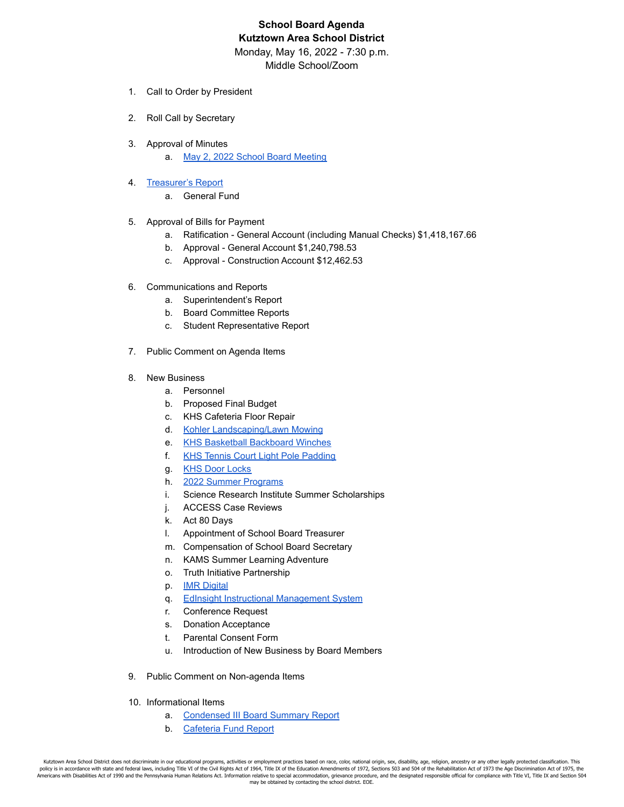# **School Board Agenda Kutztown Area School District** Monday, May 16, 2022 - 7:30 p.m.

Middle School/Zoom

- 1. Call to Order by President
- 2. Roll Call by Secretary
- 3. Approval of Minutes
	- a. [May 2, 2022 School Board Meeting](https://drive.google.com/file/d/199ul1Rf3yXNIaJGRDkCSsw9fXWJnvuB_/view?usp=sharing)
- 4. [Treasurer's Report](https://drive.google.com/file/d/1nlZXJRoO4ausAZr5LFa7KAb4ga3yCLfr/view?usp=sharing)
	- a. General Fund
- 5. Approval of Bills for Payment
	- a. Ratification General Account (including Manual Checks) \$1,418,167.66
	- b. Approval General Account \$1,240,798.53
	- c. Approval Construction Account \$12,462.53
- 6. Communications and Reports
	- a. Superintendent's Report
	- b. Board Committee Reports
	- c. Student Representative Report
- 7. Public Comment on Agenda Items
- 8. New Business
	- a. Personnel
	- b. Proposed Final Budget
	- c. KHS Cafeteria Floor Repair
	- d. [Kohler Landscaping/Lawn Mowing](https://drive.google.com/file/d/1xN74I_5hZ4kgtOivCePqgqzhtc7x4Mhp/view?usp=sharing)
	- e. [KHS Basketball Backboard Winches](https://drive.google.com/file/d/1ozLTtbebMEbRhZPVIsqSeY9NHTfKWwmd/view?usp=sharing)
	- f. [KHS Tennis Court Light Pole Padding](https://drive.google.com/file/d/1ciZBzZHp7vf_SRE2nl3gWe-3kD8sZyDR/view?usp=sharing)
	- g. [KHS Door Locks](https://drive.google.com/file/d/1ndOQryJlvyrzSdbrCwO1TXJbZePeGuXh/view?usp=sharing)
	- h. [2022 Summer Programs](https://docs.google.com/document/d/1-NAt5jLYMyYoPnGLUXnTrOuPyPSGJCjMfsdSXfQ-5gc/edit?usp=sharing)
	- i. Science Research Institute Summer Scholarships
	- j. ACCESS Case Reviews
	- k. Act 80 Days
	- l. Appointment of School Board Treasurer
	- m. Compensation of School Board Secretary
	- n. KAMS Summer Learning Adventure
	- o. Truth Initiative Partnership
	- p. **IMR** Digital
	- q. [EdInsight Instructional Management System](https://drive.google.com/file/d/1Y97ZE376GAWSf3BDlZzQKGknsmYAdwtO/view?usp=sharing)
	- r. Conference Request
	- s. Donation Acceptance
	- t. Parental Consent Form
	- u. Introduction of New Business by Board Members
- 9. Public Comment on Non-agenda Items
- 10. Informational Items
	- a. [Condensed III Board Summary Report](https://drive.google.com/file/d/1gznzmD4AVCmR-fyqlKFNGFXu-moEXpmD/view?usp=sharing)
	- b. [Cafeteria Fund Report](https://drive.google.com/file/d/19y-O83gJfvL3GKk1Lk3Q5dB4Onf9EnoM/view?usp=sharing)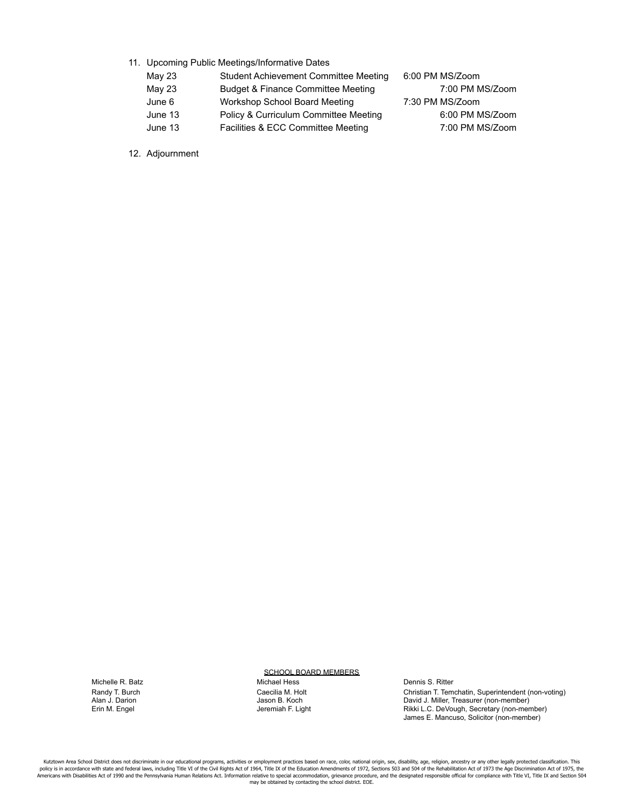- 11. Upcoming Public Meetings/Informative Dates
	- May 23 Student Achievement Committee Meeting 6:00 PM MS/Zoom
	- May 23 Budget & Finance Committee Meeting 7:00 PM MS/Zoom June 6 Workshop School Board Meeting 7:30 PM MS/Zoom
	- June 13 Policy & Curriculum Committee Meeting 6:00 PM MS/Zoom
	- June 13 Facilities & ECC Committee Meeting 7:00 PM MS/Zoom

12. Adjournment

#### SCHOOL BOARD MEMBERS

Michelle R. Batz Michael Hess Dennis S. Ritter

Randy T. Burch **Caecilia M. Holt** Caecilia M. Holt Christian T. Temchatin, Superintendent (non-voting)<br>Christian J. Darion Christian David J. Miller, Treasurer (non-member) Alan J. Darion Jason B. Koch David J. Miller, Treasurer (non-member) Erin M. Engel Jeremiah F. Light Rikki L.C. DeVough, Secretary (non-member) James E. Mancuso, Solicitor (non-member)

Kutztown Area School District does not discriminate in our educational programs, activities or employment practices based on race, color, national origin, sex, disability, age, religion, ancestry or any other legally prote policy is in accordance with state and federal laws, including Title VI of the Civil Rights Act of 1964, Title IX of the Education Amendments of 1972, Sections 503 and 504 of the Rehabilitation Act of 1973 the Age Discrimi may be obtained by contacting the school district. EOE.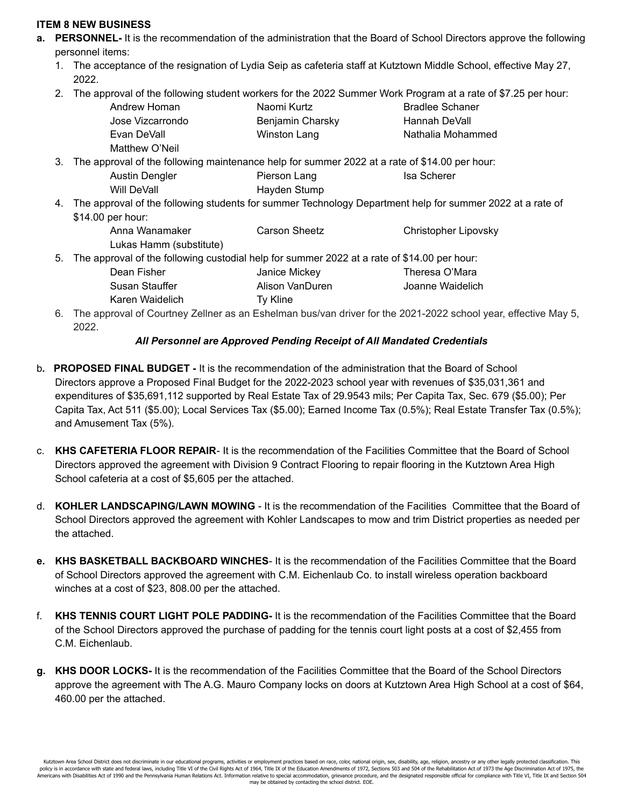# **ITEM 8 NEW BUSINESS**

- **a. PERSONNEL-** It is the recommendation of the administration that the Board of School Directors approve the following personnel items:
	- 1. The acceptance of the resignation of Lydia Seip as cafeteria staff at Kutztown Middle School, effective May 27, 2022.
	- 2. The approval of the following student workers for the 2022 Summer Work Program at a rate of \$7.25 per hour:

| Andrew Homan     | Naomi Kurtz      | <b>Bradlee Schaner</b> |
|------------------|------------------|------------------------|
| Jose Vizcarrondo | Benjamin Charsky | Hannah DeVall          |
| Evan DeVall      | Winston Lang     | Nathalia Mohammed      |
| Matthew O'Neil   |                  |                        |

- 3. The approval of the following maintenance help for summer 2022 at a rate of \$14.00 per hour: Austin Dengler **Pierson Lang** Isa Scherer Will DeVall **Hayden Stump**
- 4. The approval of the following students for summer Technology Department help for summer 2022 at a rate of \$14.00 per hour:

| Anna Wanamaker                                                                                 | Carson Sheetz   | Christopher Lipovsky |
|------------------------------------------------------------------------------------------------|-----------------|----------------------|
| Lukas Hamm (substitute)                                                                        |                 |                      |
| 5. The approval of the following custodial help for summer 2022 at a rate of \$14.00 per hour: |                 |                      |
| Dean Fisher                                                                                    | Janice Mickey   | Theresa O'Mara       |
| Susan Stauffer                                                                                 | Alison VanDuren | Joanne Waidelich     |

Karen Waidelich Ty Kline

6. The approval of Courtney Zellner as an Eshelman bus/van driver for the 2021-2022 school year, effective May 5, 2022.

# *All Personnel are Approved Pending Receipt of All Mandated Credentials*

- b*.* **PROPOSED FINAL BUDGET -** It is the recommendation of the administration that the Board of School Directors approve a Proposed Final Budget for the 2022-2023 school year with revenues of \$35,031,361 and expenditures of \$35,691,112 supported by Real Estate Tax of 29.9543 mils; Per Capita Tax, Sec. 679 (\$5.00); Per Capita Tax, Act 511 (\$5.00); Local Services Tax (\$5.00); Earned Income Tax (0.5%); Real Estate Transfer Tax (0.5%); and Amusement Tax (5%).
- c. **KHS CAFETERIA FLOOR REPAIR** It is the recommendation of the Facilities Committee that the Board of School Directors approved the agreement with Division 9 Contract Flooring to repair flooring in the Kutztown Area High School cafeteria at a cost of \$5,605 per the attached.
- d. **KOHLER LANDSCAPING/LAWN MOWING** It is the recommendation of the Facilities Committee that the Board of School Directors approved the agreement with Kohler Landscapes to mow and trim District properties as needed per the attached.
- **e. KHS BASKETBALL BACKBOARD WINCHES** It is the recommendation of the Facilities Committee that the Board of School Directors approved the agreement with C.M. Eichenlaub Co. to install wireless operation backboard winches at a cost of \$23, 808.00 per the attached.
- f. **KHS TENNIS COURT LIGHT POLE PADDING-** It is the recommendation of the Facilities Committee that the Board of the School Directors approved the purchase of padding for the tennis court light posts at a cost of \$2,455 from C.M. Eichenlaub.
- **g. KHS DOOR LOCKS-** It is the recommendation of the Facilities Committee that the Board of the School Directors approve the agreement with The A.G. Mauro Company locks on doors at Kutztown Area High School at a cost of \$64, 460.00 per the attached.